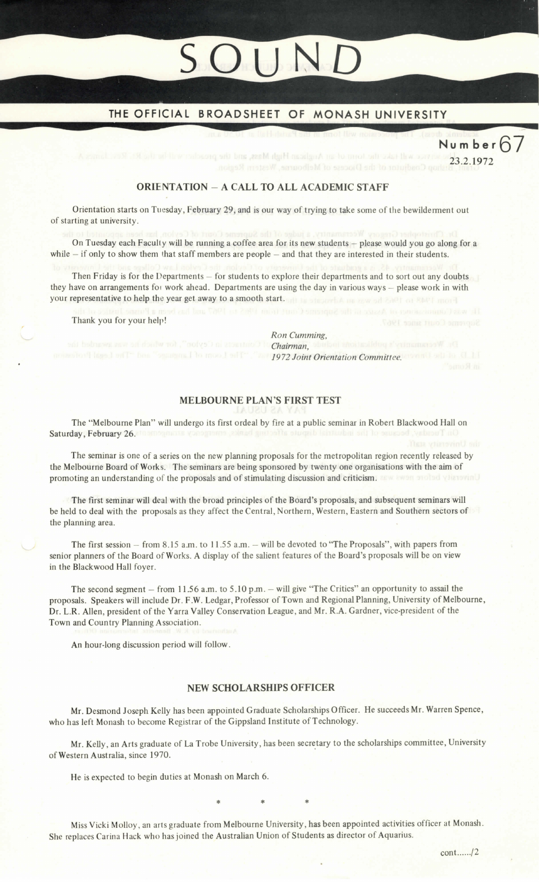# OUN

# THE OFFICIAL BROADSHEET OF MONASH UNIVERSITY

Number67

vice will take the torm of an Anglican High Mass, and the preschered in the Rt 23.2.1972

# ORIENTATION ~ A CALL TO ALL ACADEMIC STAFF

Orientation starts on Tuesday, February 29, and is our way of trying to take some of the bewilderment out of starting at university.

On Tuesday each Faculty will be running a coffee area for its new students  $-$  please would you go along for a while  $-$  if only to show them that staff members are people  $-$  and that they are interested in their students.

Then Friday is for the Departments  $-$  for students to explore their departments and to sort out any doubts they have on arrangements for work ahead. Departments are using the day in various ways - please work in with your representative to help the year get away to a smooth start. The smooth a mass of collection start more

Thank you for your help!

Ron Cumming,<br>Chairman Bauban Rossmalding Fyrimannssyll ad enw of doulw rol , "notys") ni attentified in Chairman, of 1972 Joint Committee. The Second Library of South 1972 Joint Orientation Committee. Committee

# MELBOURNE PLAN'S FIRST TEST

The "Melbourne Plan" will undergo its first ordeal by fire at a public seminar in Robert Blackwood Hall on Saturday, February 26.

The seminar is one of a series on the new planning proposals for the metropolitan region recently released by the Melbourne Board of works. The seminars are being sponsored by twenty one organisations with the aim of promoting an understanding of the proposals and of stimulating discussion and criticism. The even probad vierovinU

The first seminar will deal with the broad principles of the Board's proposals, and subsequent seminars will be held to deal with the proposals as they affect the Central, Northern, Western, Eastern and Southern sectors of the planning area.

The first session  $-$  from 8.15 a.m. to 11.55 a.m.  $-$  will be devoted to "The Proposals", with papers from senior planners of the Board of works. A display of the salient features of the Board's proposals will be on view in the Blackwood Hall foyer.

The second segment  $-$  from 11.56 a.m. to 5.10 p.m.  $-$  will give "The Critics" an opportunity to assail the proposals. Speakers will include Dr. F.W. Ledgar, Professor of Town and Regional Planning, University of Melbourne, Dr. L.R. Allen, president of the Yarra Valley Conservation League, and Mr. R.A. Gardner, vice-president of the Town and Country Planning Association.

An hour-long discussion period will follow.

# NEW SCHOLARSHIPS OFFICER

Mr. Desmond Joseph Kelly has been appointed Graduate Scholarships Officer. He succeeds Mr. Warren Spence, who has left Monash to become Registrar of the Gippsland Institute of Technology.

Mr. Kelly, an Arts graduate of La Trobe University, has been secretary to the scholarships committee, University of western Australia, since 1970.  $*$  \* \* \*

He is expected to begin duties at Monash on March 6.

Miss Vicki Molloy , an arts graduate from Melbourne University, has been appointed activities officer at Monash. She replaces Carina Hack who has joined the Austrahian Union of Students as director of Aquarius.

coat......12